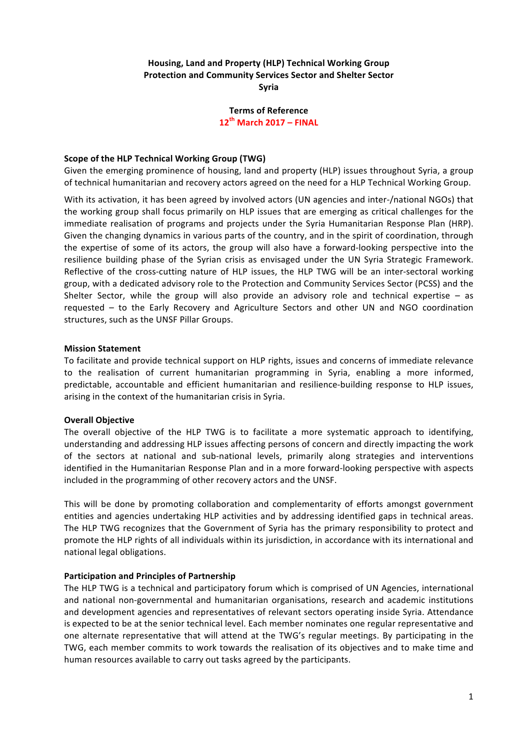# **Housing, Land and Property (HLP) Technical Working Group Protection and Community Services Sector and Shelter Sector Syria**

**Terms of Reference 12th March 2017 – FINAL**

### **Scope of the HLP Technical Working Group (TWG)**

Given the emerging prominence of housing, land and property (HLP) issues throughout Syria, a group of technical humanitarian and recovery actors agreed on the need for a HLP Technical Working Group.

With its activation, it has been agreed by involved actors (UN agencies and inter-/national NGOs) that the working group shall focus primarily on HLP issues that are emerging as critical challenges for the immediate realisation of programs and projects under the Syria Humanitarian Response Plan (HRP). Given the changing dynamics in various parts of the country, and in the spirit of coordination, through the expertise of some of its actors, the group will also have a forward-looking perspective into the resilience building phase of the Syrian crisis as envisaged under the UN Syria Strategic Framework. Reflective of the cross-cutting nature of HLP issues, the HLP TWG will be an inter-sectoral working group, with a dedicated advisory role to the Protection and Community Services Sector (PCSS) and the Shelter Sector, while the group will also provide an advisory role and technical expertise  $-$  as requested – to the Early Recovery and Agriculture Sectors and other UN and NGO coordination structures, such as the UNSF Pillar Groups.

#### **Mission Statement**

To facilitate and provide technical support on HLP rights, issues and concerns of immediate relevance to the realisation of current humanitarian programming in Syria, enabling a more informed, predictable, accountable and efficient humanitarian and resilience-building response to HLP issues, arising in the context of the humanitarian crisis in Syria.

## **Overall Objective**

The overall objective of the HLP TWG is to facilitate a more systematic approach to identifying, understanding and addressing HLP issues affecting persons of concern and directly impacting the work of the sectors at national and sub-national levels, primarily along strategies and interventions identified in the Humanitarian Response Plan and in a more forward-looking perspective with aspects included in the programming of other recovery actors and the UNSF.

This will be done by promoting collaboration and complementarity of efforts amongst government entities and agencies undertaking HLP activities and by addressing identified gaps in technical areas. The HLP TWG recognizes that the Government of Syria has the primary responsibility to protect and promote the HLP rights of all individuals within its jurisdiction, in accordance with its international and national legal obligations.

#### **Participation and Principles of Partnership**

The HLP TWG is a technical and participatory forum which is comprised of UN Agencies, international and national non-governmental and humanitarian organisations, research and academic institutions and development agencies and representatives of relevant sectors operating inside Syria. Attendance is expected to be at the senior technical level. Each member nominates one regular representative and one alternate representative that will attend at the TWG's regular meetings. By participating in the TWG, each member commits to work towards the realisation of its objectives and to make time and human resources available to carry out tasks agreed by the participants.